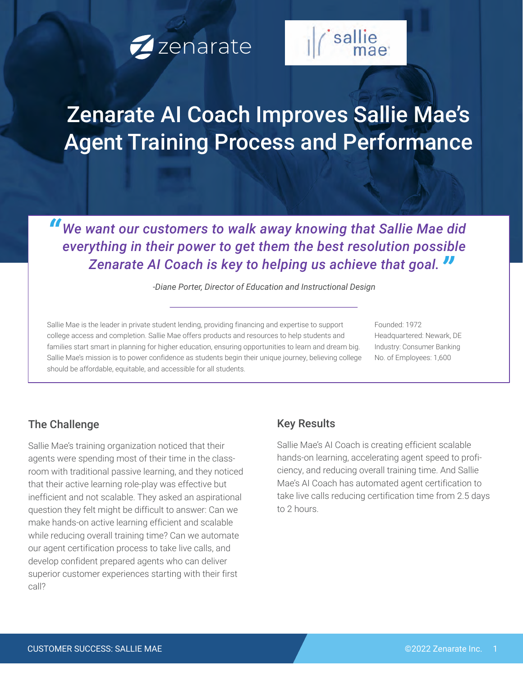



# Zenarate AI Coach Improves Sallie Mae's Agent Training Process and Performance

*We want our customers to walk away knowing that Sallie Mae did* everything in their power to get them the best resolution possible *everything in their power to get them the best resolution possible " Zenarate AI Coach is key to helping us achieve that goal.* 

*-Diane Porter, Director of Education and Instructional Design*

Sallie Mae is the leader in private student lending, providing financing and expertise to support college access and completion. Sallie Mae offers products and resources to help students and families start smart in planning for higher education, ensuring opportunities to learn and dream big. Sallie Mae's mission is to power confidence as students begin their unique journey, believing college should be affordable, equitable, and accessible for all students.

Founded: 1972 Headquartered: Newark, DE Industry: Consumer Banking No. of Employees: 1,600

### The Challenge

Sallie Mae's training organization noticed that their agents were spending most of their time in the classroom with traditional passive learning, and they noticed that their active learning role-play was effective but inefficient and not scalable. They asked an aspirational question they felt might be difficult to answer: Can we make hands-on active learning efficient and scalable while reducing overall training time? Can we automate our agent certification process to take live calls, and develop confident prepared agents who can deliver superior customer experiences starting with their first call?

### Key Results

Sallie Mae's AI Coach is creating efficient scalable hands-on learning, accelerating agent speed to proficiency, and reducing overall training time. And Sallie Mae's AI Coach has automated agent certification to take live calls reducing certification time from 2.5 days to 2 hours.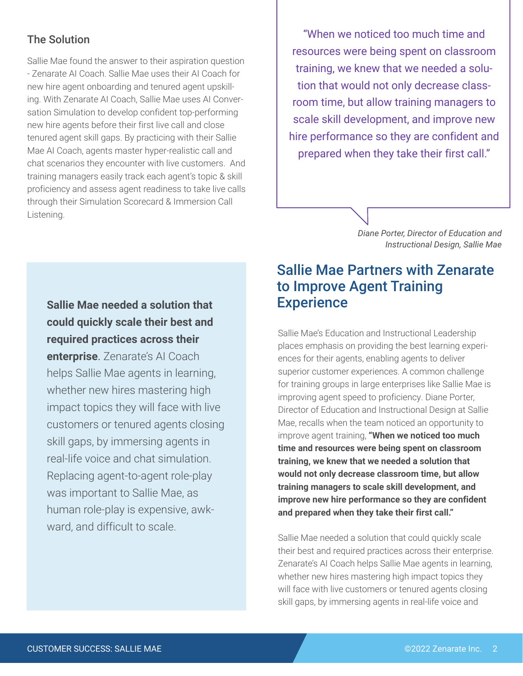### The Solution

Sallie Mae found the answer to their aspiration question - Zenarate AI Coach. Sallie Mae uses their AI Coach for new hire agent onboarding and tenured agent upskilling. With Zenarate AI Coach, Sallie Mae uses AI Conversation Simulation to develop confident top-performing new hire agents before their first live call and close tenured agent skill gaps. By practicing with their Sallie Mae AI Coach, agents master hyper-realistic call and chat scenarios they encounter with live customers. And training managers easily track each agent's topic & skill proficiency and assess agent readiness to take live calls through their Simulation Scorecard & Immersion Call Listening.

"When we noticed too much time and resources were being spent on classroom training, we knew that we needed a solution that would not only decrease classroom time, but allow training managers to scale skill development, and improve new hire performance so they are confident and prepared when they take their first call."

> *Diane Porter, Director of Education and Instructional Design, Sallie Mae*

# **Sallie Mae needed a solution that could quickly scale their best and required practices across their enterprise**. Zenarate's AI Coach helps Sallie Mae agents in learning, whether new hires mastering high impact topics they will face with live

customers or tenured agents closing skill gaps, by immersing agents in real-life voice and chat simulation. Replacing agent-to-agent role-play was important to Sallie Mae, as human role-play is expensive, awkward, and difficult to scale.

# Sallie Mae Partners with Zenarate to Improve Agent Training **Experience**

Sallie Mae's Education and Instructional Leadership places emphasis on providing the best learning experiences for their agents, enabling agents to deliver superior customer experiences. A common challenge for training groups in large enterprises like Sallie Mae is improving agent speed to proficiency. Diane Porter, Director of Education and Instructional Design at Sallie Mae, recalls when the team noticed an opportunity to improve agent training, **"When we noticed too much time and resources were being spent on classroom training, we knew that we needed a solution that would not only decrease classroom time, but allow training managers to scale skill development, and improve new hire performance so they are confident and prepared when they take their first call."**

Sallie Mae needed a solution that could quickly scale their best and required practices across their enterprise. Zenarate's AI Coach helps Sallie Mae agents in learning, whether new hires mastering high impact topics they will face with live customers or tenured agents closing skill gaps, by immersing agents in real-life voice and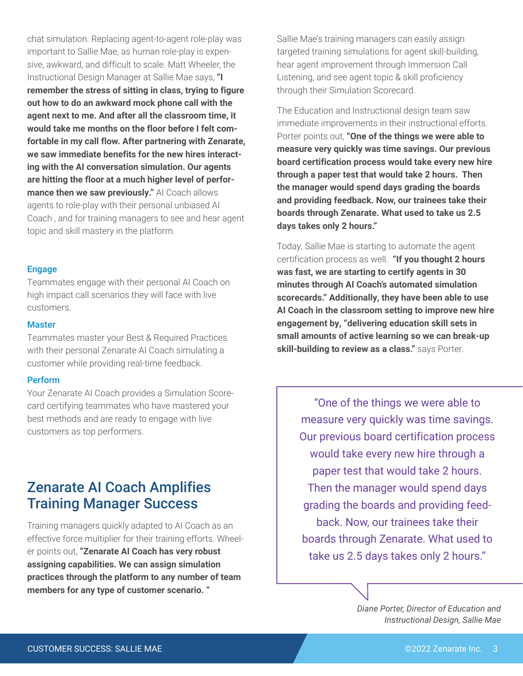chat simulation. Replacing agent-to-agent role-play was important to Sallie Mae, as human role-play is expensive, awkward, and difficult to scale. Matt Wheeler, the Instructional Design Manager at Sallie Mae says, **"I remember the stress of sitting in class, trying to figure out how to do an awkward mock phone call with the agent next to me. And after all the classroom time, it would take me months on the floor before I felt comfortable in my call flow. After partnering with Zenarate, we saw immediate benefits for the new hires interacting with the AI conversation simulation. Our agents are hitting the floor at a much higher level of performance then we saw previously."** AI Coach allows agents to role-play with their personal unbiased AI Coach , and for training managers to see and hear agent topic and skill mastery in the platform.

#### Engage

Teammates engage with their personal AI Coach on high impact call scenarios they will face with live customers.

#### **Master**

Teammates master your Best & Required Practices with their personal Zenarate AI Coach simulating a customer while providing real-time feedback.

#### Perform

Your Zenarate AI Coach provides a Simulation Scorecard certifying teammates who have mastered your best methods and are ready to engage with live customers as top performers.

# Zenarate AI Coach Amplifies Training Manager Success

Training managers quickly adapted to AI Coach as an effective force multiplier for their training efforts. Wheeler points out, **"Zenarate AI Coach has very robust assigning capabilities. We can assign simulation practices through the platform to any number of team members for any type of customer scenario. "**

Sallie Mae's training managers can easily assign targeted training simulations for agent skill-building, hear agent improvement through Immersion Call Listening, and see agent topic & skill proficiency through their Simulation Scorecard.

The Education and Instructional design team saw immediate improvements in their instructional efforts. Porter points out, **"One of the things we were able to measure very quickly was time savings. Our previous board certification process would take every new hire through a paper test that would take 2 hours. Then the manager would spend days grading the boards and providing feedback. Now, our trainees take their boards through Zenarate. What used to take us 2.5 days takes only 2 hours."** 

Today, Sallie Mae is starting to automate the agent certification process as well. **"If you thought 2 hours was fast, we are starting to certify agents in 30 minutes through AI Coach's automated simulation scorecards." Additionally, they have been able to use AI Coach in the classroom setting to improve new hire engagement by, "delivering education skill sets in small amounts of active learning so we can break-up skill-building to review as a class."** says Porter.

"One of the things we were able to measure very quickly was time savings. Our previous board certification process would take every new hire through a paper test that would take 2 hours. Then the manager would spend days grading the boards and providing feedback. Now, our trainees take their boards through Zenarate. What used to take us 2.5 days takes only 2 hours."

> *Diane Porter, Director of Education and Instructional Design, Sallie Mae*